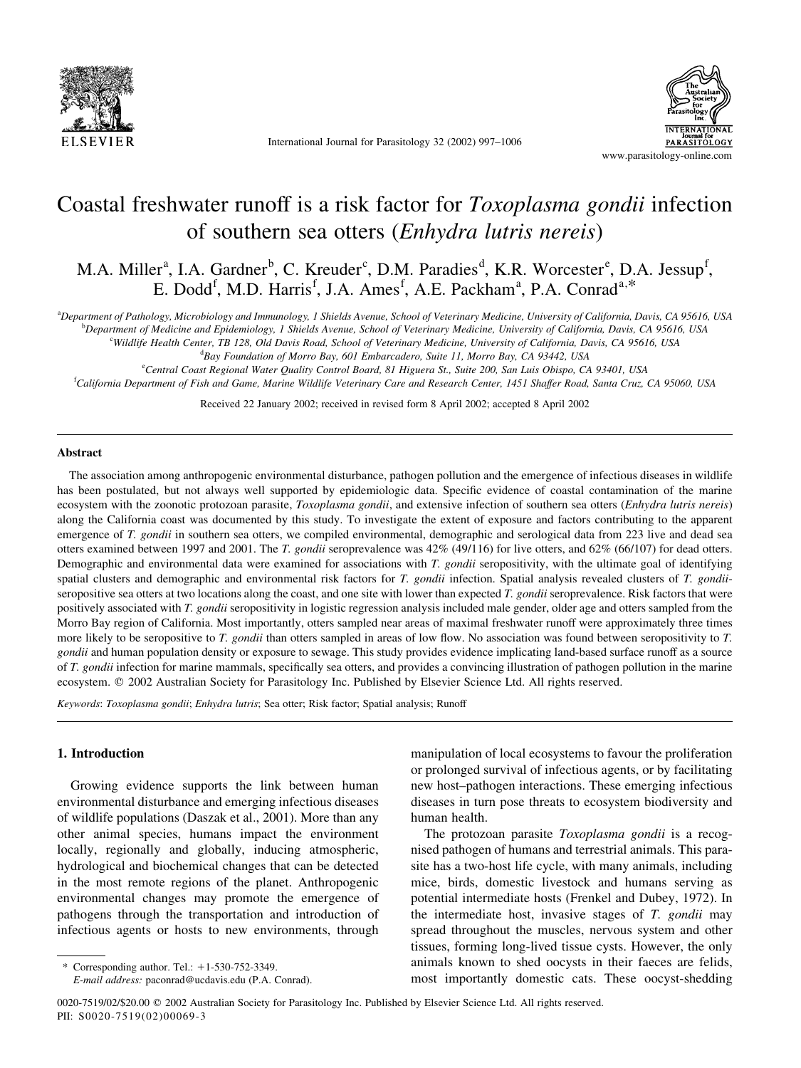

International Journal for Parasitology 32 (2002) 997–1006



# Coastal freshwater runoff is a risk factor for Toxoplasma gondii infection of southern sea otters (Enhydra lutris nereis)

M.A. Miller<sup>a</sup>, I.A. Gardner<sup>b</sup>, C. Kreuder<sup>c</sup>, D.M. Paradies<sup>d</sup>, K.R. Worcester<sup>e</sup>, D.A. Jessup<sup>f</sup>, E. Dodd<sup>f</sup>, M.D. Harris<sup>f</sup>, J.A. Ames<sup>f</sup>, A.E. Packham<sup>a</sup>, P.A. Conrad<sup>a,\*</sup>

a<br>Department of Pathology, Microbiology and Immunology, 1 Shields Avenue, School of Veterinary Medicine, University of California, Davis, CA 95616, USA

**b** Department of Medicine and Epidemiology, 1 Shields Avenue, School of Veterinary Medicine, University of California, Davis, CA 95616, USA

c Wildlife Health Center, TB 128, Old Davis Road, School of Veterinary Medicine, University of California, Davis, CA 95616, USA

<sup>d</sup>Bay Foundation of Morro Bay, 601 Embarcadero, Suite 11, Morro Bay, CA 93442, USA

e Central Coast Regional Water Quality Control Board, 81 Higuera St., Suite 200, San Luis Obispo, CA 93401, USA

<sup>t</sup>California Department of Fish and Game, Marine Wildlife Veterinary Care and Research Center, 1451 Shaffer Road, Santa Cruz, CA 95060, USA

Received 22 January 2002; received in revised form 8 April 2002; accepted 8 April 2002

## Abstract

The association among anthropogenic environmental disturbance, pathogen pollution and the emergence of infectious diseases in wildlife has been postulated, but not always well supported by epidemiologic data. Specific evidence of coastal contamination of the marine ecosystem with the zoonotic protozoan parasite, Toxoplasma gondii, and extensive infection of southern sea otters (Enhydra lutris nereis) along the California coast was documented by this study. To investigate the extent of exposure and factors contributing to the apparent emergence of T. gondii in southern sea otters, we compiled environmental, demographic and serological data from 223 live and dead sea otters examined between 1997 and 2001. The T. gondii seroprevalence was 42% (49/116) for live otters, and 62% (66/107) for dead otters. Demographic and environmental data were examined for associations with T. gondii seropositivity, with the ultimate goal of identifying spatial clusters and demographic and environmental risk factors for T. gondii infection. Spatial analysis revealed clusters of T. gondiiseropositive sea otters at two locations along the coast, and one site with lower than expected  $T$ , gondii seroprevalence. Risk factors that were positively associated with T. gondii seropositivity in logistic regression analysis included male gender, older age and otters sampled from the Morro Bay region of California. Most importantly, otters sampled near areas of maximal freshwater runoff were approximately three times more likely to be seropositive to T. gondii than otters sampled in areas of low flow. No association was found between seropositivity to T. gondii and human population density or exposure to sewage. This study provides evidence implicating land-based surface runoff as a source of T. gondii infection for marine mammals, specifically sea otters, and provides a convincing illustration of pathogen pollution in the marine ecosystem.  $©$  2002 Australian Society for Parasitology Inc. Published by Elsevier Science Ltd. All rights reserved.

Keywords: Toxoplasma gondii; Enhydra lutris; Sea otter; Risk factor; Spatial analysis; Runoff

# 1. Introduction

Growing evidence supports the link between human environmental disturbance and emerging infectious diseases of wildlife populations (Daszak et al., 2001). More than any other animal species, humans impact the environment locally, regionally and globally, inducing atmospheric, hydrological and biochemical changes that can be detected in the most remote regions of the planet. Anthropogenic environmental changes may promote the emergence of pathogens through the transportation and introduction of infectious agents or hosts to new environments, through

Corresponding author. Tel.:  $+1-530-752-3349$ .

manipulation of local ecosystems to favour the proliferation or prolonged survival of infectious agents, or by facilitating new host–pathogen interactions. These emerging infectious diseases in turn pose threats to ecosystem biodiversity and human health.

The protozoan parasite Toxoplasma gondii is a recognised pathogen of humans and terrestrial animals. This parasite has a two-host life cycle, with many animals, including mice, birds, domestic livestock and humans serving as potential intermediate hosts (Frenkel and Dubey, 1972). In the intermediate host, invasive stages of T. gondii may spread throughout the muscles, nervous system and other tissues, forming long-lived tissue cysts. However, the only animals known to shed oocysts in their faeces are felids, most importantly domestic cats. These oocyst-shedding

E-mail address: paconrad@ucdavis.edu (P.A. Conrad).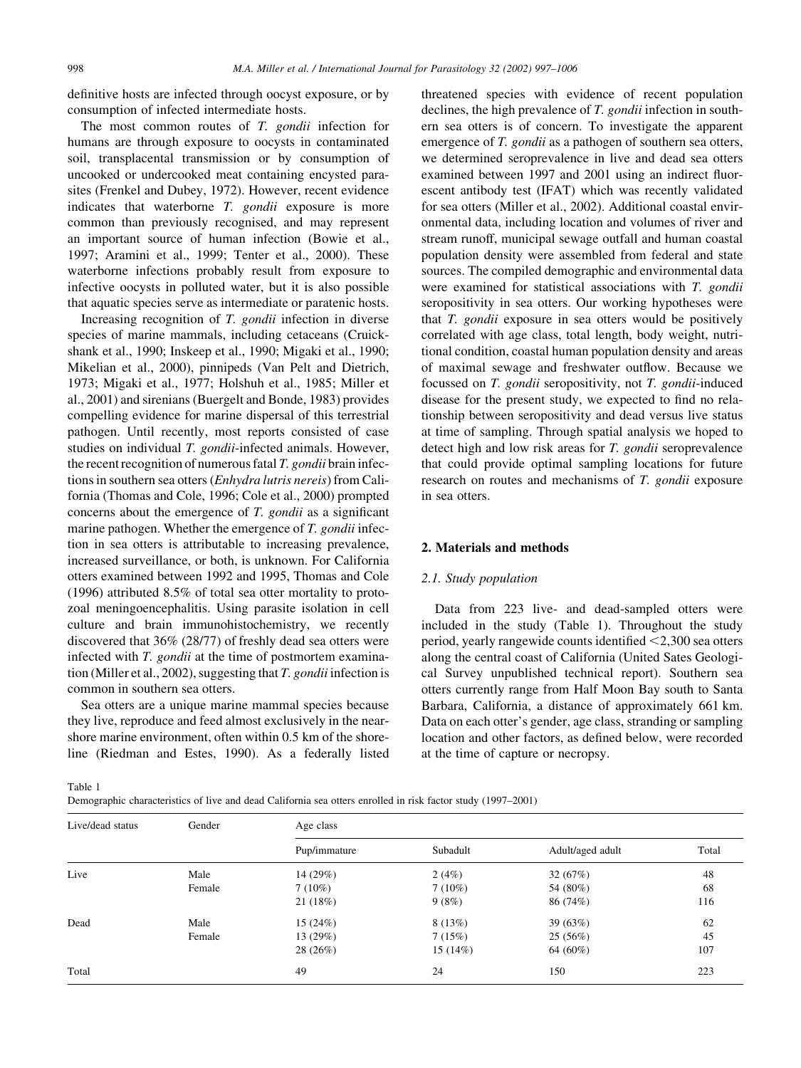definitive hosts are infected through oocyst exposure, or by consumption of infected intermediate hosts.

The most common routes of T. gondii infection for humans are through exposure to oocysts in contaminated soil, transplacental transmission or by consumption of uncooked or undercooked meat containing encysted parasites (Frenkel and Dubey, 1972). However, recent evidence indicates that waterborne T. gondii exposure is more common than previously recognised, and may represent an important source of human infection (Bowie et al., 1997; Aramini et al., 1999; Tenter et al., 2000). These waterborne infections probably result from exposure to infective oocysts in polluted water, but it is also possible that aquatic species serve as intermediate or paratenic hosts.

Increasing recognition of T. gondii infection in diverse species of marine mammals, including cetaceans (Cruickshank et al., 1990; Inskeep et al., 1990; Migaki et al., 1990; Mikelian et al., 2000), pinnipeds (Van Pelt and Dietrich, 1973; Migaki et al., 1977; Holshuh et al., 1985; Miller et al., 2001) and sirenians (Buergelt and Bonde, 1983) provides compelling evidence for marine dispersal of this terrestrial pathogen. Until recently, most reports consisted of case studies on individual T. gondii-infected animals. However, the recent recognition of numerous fatal T. gondii brain infections in southern sea otters (Enhydra lutris nereis) from California (Thomas and Cole, 1996; Cole et al., 2000) prompted concerns about the emergence of T. gondii as a significant marine pathogen. Whether the emergence of T. gondii infection in sea otters is attributable to increasing prevalence, increased surveillance, or both, is unknown. For California otters examined between 1992 and 1995, Thomas and Cole (1996) attributed 8.5% of total sea otter mortality to protozoal meningoencephalitis. Using parasite isolation in cell culture and brain immunohistochemistry, we recently discovered that 36% (28/77) of freshly dead sea otters were infected with T. gondii at the time of postmortem examination (Miller et al., 2002), suggesting that T. gondii infection is common in southern sea otters.

Sea otters are a unique marine mammal species because they live, reproduce and feed almost exclusively in the nearshore marine environment, often within 0.5 km of the shoreline (Riedman and Estes, 1990). As a federally listed threatened species with evidence of recent population declines, the high prevalence of T. gondii infection in southern sea otters is of concern. To investigate the apparent emergence of T. gondii as a pathogen of southern sea otters, we determined seroprevalence in live and dead sea otters examined between 1997 and 2001 using an indirect fluorescent antibody test (IFAT) which was recently validated for sea otters (Miller et al., 2002). Additional coastal environmental data, including location and volumes of river and stream runoff, municipal sewage outfall and human coastal population density were assembled from federal and state sources. The compiled demographic and environmental data were examined for statistical associations with T. gondii seropositivity in sea otters. Our working hypotheses were that T. gondii exposure in sea otters would be positively correlated with age class, total length, body weight, nutritional condition, coastal human population density and areas of maximal sewage and freshwater outflow. Because we focussed on T. gondii seropositivity, not T. gondii-induced disease for the present study, we expected to find no relationship between seropositivity and dead versus live status at time of sampling. Through spatial analysis we hoped to detect high and low risk areas for T. gondii seroprevalence that could provide optimal sampling locations for future research on routes and mechanisms of T. gondii exposure in sea otters.

### 2. Materials and methods

#### 2.1. Study population

Data from 223 live- and dead-sampled otters were included in the study (Table 1). Throughout the study period, yearly rangewide counts identified  $\leq$ 2,300 sea otters along the central coast of California (United Sates Geological Survey unpublished technical report). Southern sea otters currently range from Half Moon Bay south to Santa Barbara, California, a distance of approximately 661 km. Data on each otter's gender, age class, stranding or sampling location and other factors, as defined below, were recorded at the time of capture or necropsy.

Table 1

Demographic characteristics of live and dead California sea otters enrolled in risk factor study (1997–2001)

| Gender | Age class    |           |                  |       |  |
|--------|--------------|-----------|------------------|-------|--|
|        | Pup/immature | Subadult  | Adult/aged adult | Total |  |
| Male   | 14 (29%)     | 2(4%)     | 32(67%)          | 48    |  |
| Female | $7(10\%)$    | $7(10\%)$ | 54 (80%)         | 68    |  |
|        | 21(18%)      | 9(8%)     | 86 (74%)         | 116   |  |
| Male   | 15(24%)      | 8(13%)    | 39 (63%)         | 62    |  |
| Female | 13(29%)      | 7(15%)    | 25(56%)          | 45    |  |
|        | 28 (26%)     | 15(14%)   | 64 (60%)         | 107   |  |
|        | 49           | 24        | 150              | 223   |  |
|        |              |           |                  |       |  |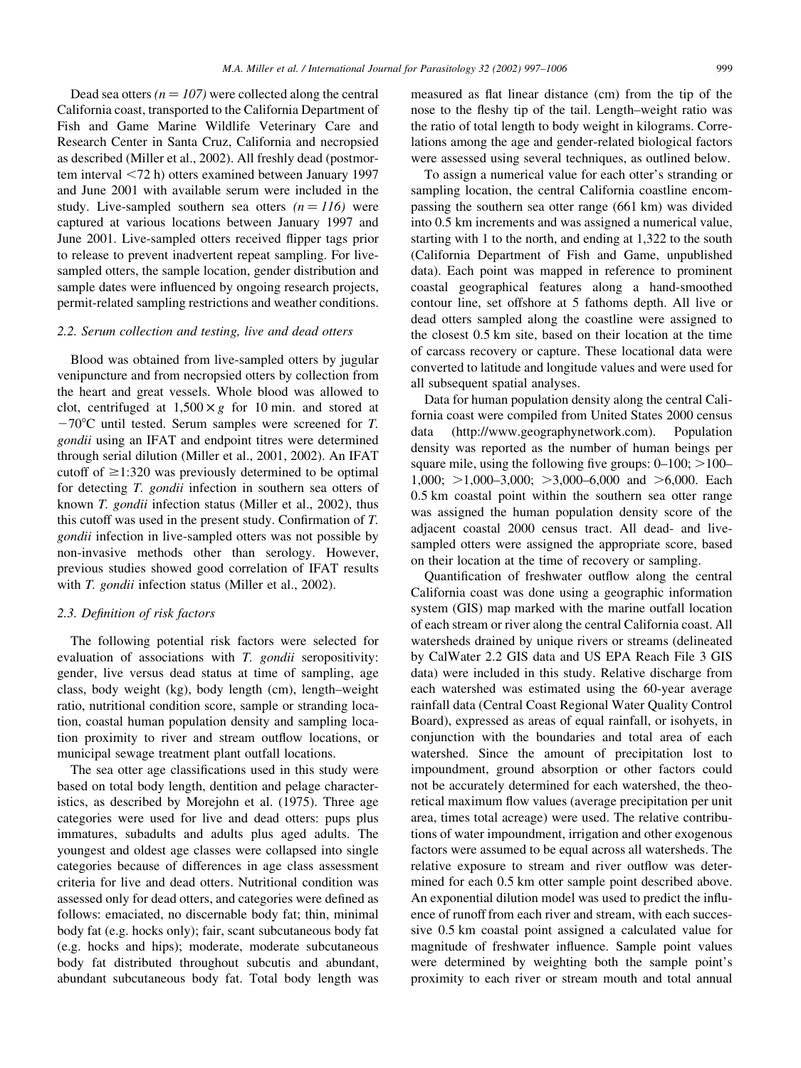Dead sea otters ( $n = 107$ ) were collected along the central California coast, transported to the California Department of Fish and Game Marine Wildlife Veterinary Care and Research Center in Santa Cruz, California and necropsied as described (Miller et al., 2002). All freshly dead (postmortem interval  $<$ 72 h) otters examined between January 1997 and June 2001 with available serum were included in the study. Live-sampled southern sea otters  $(n = 116)$  were captured at various locations between January 1997 and June 2001. Live-sampled otters received flipper tags prior to release to prevent inadvertent repeat sampling. For livesampled otters, the sample location, gender distribution and sample dates were influenced by ongoing research projects, permit-related sampling restrictions and weather conditions.

## 2.2. Serum collection and testing, live and dead otters

Blood was obtained from live-sampled otters by jugular venipuncture and from necropsied otters by collection from the heart and great vessels. Whole blood was allowed to clot, centrifuged at  $1,500 \times g$  for 10 min. and stored at  $-70^{\circ}$ C until tested. Serum samples were screened for T. gondii using an IFAT and endpoint titres were determined through serial dilution (Miller et al., 2001, 2002). An IFAT cutoff of  $\geq$ 1:320 was previously determined to be optimal for detecting T. gondii infection in southern sea otters of known T. gondii infection status (Miller et al., 2002), thus this cutoff was used in the present study. Confirmation of T. gondii infection in live-sampled otters was not possible by non-invasive methods other than serology. However, previous studies showed good correlation of IFAT results with *T. gondii* infection status (Miller et al., 2002).

# 2.3. Definition of risk factors

The following potential risk factors were selected for evaluation of associations with T. gondii seropositivity: gender, live versus dead status at time of sampling, age class, body weight (kg), body length (cm), length–weight ratio, nutritional condition score, sample or stranding location, coastal human population density and sampling location proximity to river and stream outflow locations, or municipal sewage treatment plant outfall locations.

The sea otter age classifications used in this study were based on total body length, dentition and pelage characteristics, as described by Morejohn et al. (1975). Three age categories were used for live and dead otters: pups plus immatures, subadults and adults plus aged adults. The youngest and oldest age classes were collapsed into single categories because of differences in age class assessment criteria for live and dead otters. Nutritional condition was assessed only for dead otters, and categories were defined as follows: emaciated, no discernable body fat; thin, minimal body fat (e.g. hocks only); fair, scant subcutaneous body fat (e.g. hocks and hips); moderate, moderate subcutaneous body fat distributed throughout subcutis and abundant, abundant subcutaneous body fat. Total body length was

measured as flat linear distance (cm) from the tip of the nose to the fleshy tip of the tail. Length–weight ratio was the ratio of total length to body weight in kilograms. Correlations among the age and gender-related biological factors were assessed using several techniques, as outlined below.

To assign a numerical value for each otter's stranding or sampling location, the central California coastline encompassing the southern sea otter range (661 km) was divided into 0.5 km increments and was assigned a numerical value, starting with 1 to the north, and ending at 1,322 to the south (California Department of Fish and Game, unpublished data). Each point was mapped in reference to prominent coastal geographical features along a hand-smoothed contour line, set offshore at 5 fathoms depth. All live or dead otters sampled along the coastline were assigned to the closest 0.5 km site, based on their location at the time of carcass recovery or capture. These locational data were converted to latitude and longitude values and were used for all subsequent spatial analyses.

Data for human population density along the central California coast were compiled from United States 2000 census data (http://www.geographynetwork.com). Population density was reported as the number of human beings per square mile, using the following five groups:  $0-100$ ;  $>100 1,000$ ;  $>1,000-3,000$ ;  $>3,000-6,000$  and  $>6,000$ . Each 0.5 km coastal point within the southern sea otter range was assigned the human population density score of the adjacent coastal 2000 census tract. All dead- and livesampled otters were assigned the appropriate score, based on their location at the time of recovery or sampling.

Quantification of freshwater outflow along the central California coast was done using a geographic information system (GIS) map marked with the marine outfall location of each stream or river along the central California coast. All watersheds drained by unique rivers or streams (delineated by CalWater 2.2 GIS data and US EPA Reach File 3 GIS data) were included in this study. Relative discharge from each watershed was estimated using the 60-year average rainfall data (Central Coast Regional Water Quality Control Board), expressed as areas of equal rainfall, or isohyets, in conjunction with the boundaries and total area of each watershed. Since the amount of precipitation lost to impoundment, ground absorption or other factors could not be accurately determined for each watershed, the theoretical maximum flow values (average precipitation per unit area, times total acreage) were used. The relative contributions of water impoundment, irrigation and other exogenous factors were assumed to be equal across all watersheds. The relative exposure to stream and river outflow was determined for each 0.5 km otter sample point described above. An exponential dilution model was used to predict the influence of runoff from each river and stream, with each successive 0.5 km coastal point assigned a calculated value for magnitude of freshwater influence. Sample point values were determined by weighting both the sample point's proximity to each river or stream mouth and total annual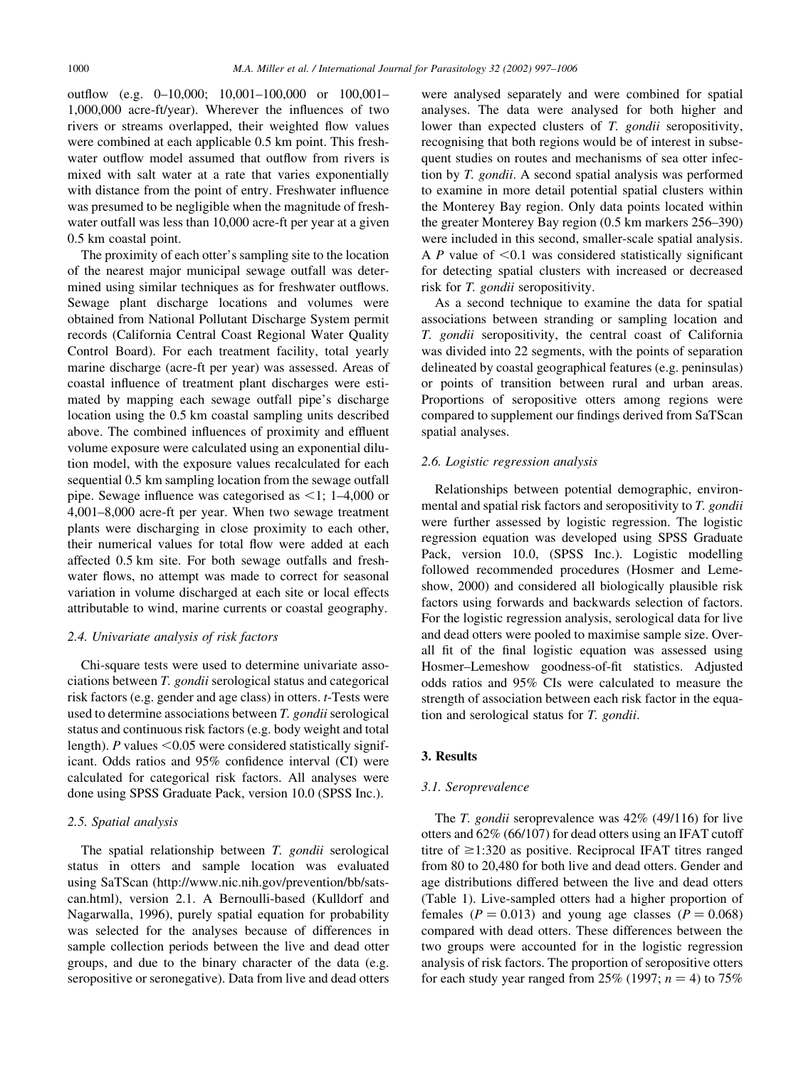outflow (e.g. 0–10,000; 10,001–100,000 or 100,001– 1,000,000 acre-ft/year). Wherever the influences of two rivers or streams overlapped, their weighted flow values were combined at each applicable 0.5 km point. This freshwater outflow model assumed that outflow from rivers is mixed with salt water at a rate that varies exponentially with distance from the point of entry. Freshwater influence was presumed to be negligible when the magnitude of freshwater outfall was less than 10,000 acre-ft per year at a given 0.5 km coastal point.

The proximity of each otter's sampling site to the location of the nearest major municipal sewage outfall was determined using similar techniques as for freshwater outflows. Sewage plant discharge locations and volumes were obtained from National Pollutant Discharge System permit records (California Central Coast Regional Water Quality Control Board). For each treatment facility, total yearly marine discharge (acre-ft per year) was assessed. Areas of coastal influence of treatment plant discharges were estimated by mapping each sewage outfall pipe's discharge location using the 0.5 km coastal sampling units described above. The combined influences of proximity and effluent volume exposure were calculated using an exponential dilution model, with the exposure values recalculated for each sequential 0.5 km sampling location from the sewage outfall pipe. Sewage influence was categorised as  $\leq$ 1; 1–4,000 or 4,001–8,000 acre-ft per year. When two sewage treatment plants were discharging in close proximity to each other, their numerical values for total flow were added at each affected 0.5 km site. For both sewage outfalls and freshwater flows, no attempt was made to correct for seasonal variation in volume discharged at each site or local effects attributable to wind, marine currents or coastal geography.

## 2.4. Univariate analysis of risk factors

Chi-square tests were used to determine univariate associations between T. gondii serological status and categorical risk factors (e.g. gender and age class) in otters. t-Tests were used to determine associations between T. gondii serological status and continuous risk factors (e.g. body weight and total length). P values  $< 0.05$  were considered statistically significant. Odds ratios and 95% confidence interval (CI) were calculated for categorical risk factors. All analyses were done using SPSS Graduate Pack, version 10.0 (SPSS Inc.).

#### 2.5. Spatial analysis

The spatial relationship between T. gondii serological status in otters and sample location was evaluated using SaTScan (http://www.nic.nih.gov/prevention/bb/satscan.html), version 2.1. A Bernoulli-based (Kulldorf and Nagarwalla, 1996), purely spatial equation for probability was selected for the analyses because of differences in sample collection periods between the live and dead otter groups, and due to the binary character of the data (e.g. seropositive or seronegative). Data from live and dead otters were analysed separately and were combined for spatial analyses. The data were analysed for both higher and lower than expected clusters of T. gondii seropositivity, recognising that both regions would be of interest in subsequent studies on routes and mechanisms of sea otter infection by T. gondii. A second spatial analysis was performed to examine in more detail potential spatial clusters within the Monterey Bay region. Only data points located within the greater Monterey Bay region (0.5 km markers 256–390) were included in this second, smaller-scale spatial analysis. A P value of  $\leq 0.1$  was considered statistically significant for detecting spatial clusters with increased or decreased risk for T. gondii seropositivity.

As a second technique to examine the data for spatial associations between stranding or sampling location and T. gondii seropositivity, the central coast of California was divided into 22 segments, with the points of separation delineated by coastal geographical features (e.g. peninsulas) or points of transition between rural and urban areas. Proportions of seropositive otters among regions were compared to supplement our findings derived from SaTScan spatial analyses.

#### 2.6. Logistic regression analysis

Relationships between potential demographic, environmental and spatial risk factors and seropositivity to T. gondii were further assessed by logistic regression. The logistic regression equation was developed using SPSS Graduate Pack, version 10.0, (SPSS Inc.). Logistic modelling followed recommended procedures (Hosmer and Lemeshow, 2000) and considered all biologically plausible risk factors using forwards and backwards selection of factors. For the logistic regression analysis, serological data for live and dead otters were pooled to maximise sample size. Overall fit of the final logistic equation was assessed using Hosmer–Lemeshow goodness-of-fit statistics. Adjusted odds ratios and 95% CIs were calculated to measure the strength of association between each risk factor in the equation and serological status for T. gondii.

# 3. Results

# 3.1. Seroprevalence

The T. gondii seroprevalence was 42% (49/116) for live otters and 62% (66/107) for dead otters using an IFAT cutoff titre of  $\geq$ 1:320 as positive. Reciprocal IFAT titres ranged from 80 to 20,480 for both live and dead otters. Gender and age distributions differed between the live and dead otters (Table 1). Live-sampled otters had a higher proportion of females  $(P = 0.013)$  and young age classes  $(P = 0.068)$ compared with dead otters. These differences between the two groups were accounted for in the logistic regression analysis of risk factors. The proportion of seropositive otters for each study year ranged from 25% (1997;  $n = 4$ ) to 75%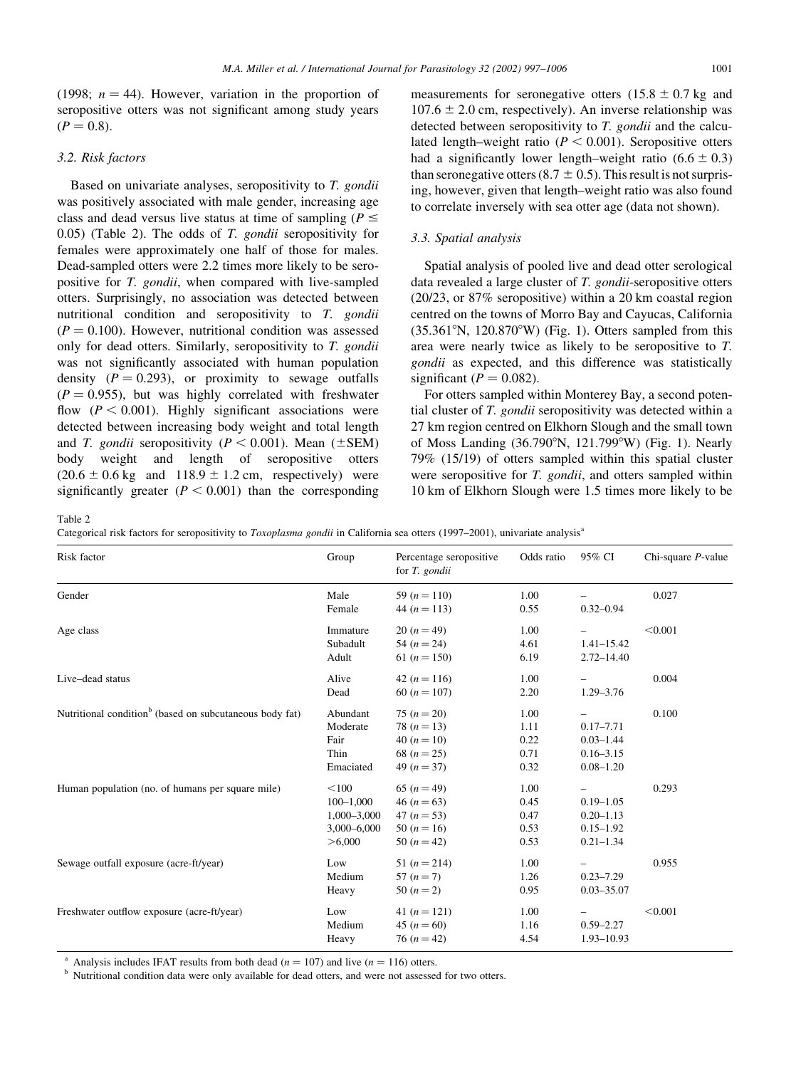(1998;  $n = 44$ ). However, variation in the proportion of

# 3.2. Risk factors

 $(P = 0.8)$ .

Based on univariate analyses, seropositivity to T. gondii was positively associated with male gender, increasing age class and dead versus live status at time of sampling  $(P \leq$ 0.05) (Table 2). The odds of  $T$ . *gondii* seropositivity for females were approximately one half of those for males. Dead-sampled otters were 2.2 times more likely to be seropositive for T. gondii, when compared with live-sampled otters. Surprisingly, no association was detected between nutritional condition and seropositivity to T. gondii  $(P = 0.100)$ . However, nutritional condition was assessed only for dead otters. Similarly, seropositivity to T. gondii was not significantly associated with human population density  $(P = 0.293)$ , or proximity to sewage outfalls  $(P = 0.955)$ , but was highly correlated with freshwater flow  $(P < 0.001)$ . Highly significant associations were detected between increasing body weight and total length and T. gondii seropositivity ( $P \le 0.001$ ). Mean ( $\pm$ SEM) body weight and length of seropositive otters  $(20.6 \pm 0.6 \text{ kg}$  and  $118.9 \pm 1.2 \text{ cm}$ , respectively) were significantly greater  $(P < 0.001)$  than the corresponding

seropositive otters was not significant among study years

measurements for seronegative otters  $(15.8 \pm 0.7 \text{ kg}$  and  $107.6 \pm 2.0$  cm, respectively). An inverse relationship was detected between seropositivity to T. gondii and the calculated length–weight ratio ( $P < 0.001$ ). Seropositive otters had a significantly lower length–weight ratio  $(6.6 \pm 0.3)$ than seronegative otters  $(8.7 \pm 0.5)$ . This result is not surprising, however, given that length–weight ratio was also found to correlate inversely with sea otter age (data not shown).

### 3.3. Spatial analysis

Spatial analysis of pooled live and dead otter serological data revealed a large cluster of T. gondii-seropositive otters (20/23, or 87% seropositive) within a 20 km coastal region centred on the towns of Morro Bay and Cayucas, California  $(35.361^{\circ}N, 120.870^{\circ}W)$  (Fig. 1). Otters sampled from this area were nearly twice as likely to be seropositive to T. gondii as expected, and this difference was statistically significant ( $P = 0.082$ ).

For otters sampled within Monterey Bay, a second potential cluster of T. gondii seropositivity was detected within a 27 km region centred on Elkhorn Slough and the small town of Moss Landing  $(36.790^{\circ}N, 121.799^{\circ}W)$  (Fig. 1). Nearly 79% (15/19) of otters sampled within this spatial cluster were seropositive for T. *gondii*, and otters sampled within 10 km of Elkhorn Slough were 1.5 times more likely to be

Table 2

Categorical risk factors for seropositivity to *Toxoplasma gondii* in California sea otters (1997–2001), univariate analysis<sup>a</sup>

| Risk factor                                                         | Group         | Percentage seropositive<br>for T. gondii | Odds ratio | 95% CI         | Chi-square P-value |
|---------------------------------------------------------------------|---------------|------------------------------------------|------------|----------------|--------------------|
| Gender                                                              | Male          | 59 $(n = 110)$                           | 1.00       |                | 0.027              |
|                                                                     | Female        | 44 $(n = 113)$                           | 0.55       | $0.32 - 0.94$  |                    |
| Age class                                                           | Immature      | 20 $(n = 49)$                            | 1.00       |                | < 0.001            |
|                                                                     | Subadult      | 54 $(n = 24)$                            | 4.61       | $1.41 - 15.42$ |                    |
|                                                                     | Adult         | 61 $(n = 150)$                           | 6.19       | $2.72 - 14.40$ |                    |
| Live-dead status                                                    | Alive         | 42 $(n = 116)$                           | 1.00       |                | 0.004              |
|                                                                     | Dead          | 60 $(n = 107)$                           | 2.20       | $1.29 - 3.76$  |                    |
| Nutritional condition <sup>b</sup> (based on subcutaneous body fat) | Abundant      | 75 $(n = 20)$                            | 1.00       |                | 0.100              |
|                                                                     | Moderate      | 78 $(n = 13)$                            | 1.11       | $0.17 - 7.71$  |                    |
|                                                                     | Fair          | $40 (n = 10)$                            | 0.22       | $0.03 - 1.44$  |                    |
|                                                                     | Thin          | 68 $(n = 25)$                            | 0.71       | $0.16 - 3.15$  |                    |
|                                                                     | Emaciated     | 49 $(n=37)$                              | 0.32       | $0.08 - 1.20$  |                    |
| Human population (no. of humans per square mile)                    | < 100         | 65 $(n = 49)$                            | 1.00       |                | 0.293              |
|                                                                     | $100 - 1,000$ | 46 $(n = 63)$                            | 0.45       | $0.19 - 1.05$  |                    |
|                                                                     | 1,000-3,000   | 47 $(n = 53)$                            | 0.47       | $0.20 - 1.13$  |                    |
|                                                                     | 3,000-6,000   | 50 $(n = 16)$                            | 0.53       | $0.15 - 1.92$  |                    |
|                                                                     | > 6,000       | 50 $(n = 42)$                            | 0.53       | $0.21 - 1.34$  |                    |
| Sewage outfall exposure (acre-ft/year)                              | Low           | 51 $(n = 214)$                           | 1.00       |                | 0.955              |
|                                                                     | Medium        | 57 $(n=7)$                               | 1.26       | $0.23 - 7.29$  |                    |
|                                                                     | Heavy         | 50 $(n=2)$                               | 0.95       | $0.03 - 35.07$ |                    |
| Freshwater outflow exposure (acre-ft/year)                          | Low           | 41 $(n = 121)$                           | 1.00       |                | < 0.001            |
|                                                                     | Medium        | 45 $(n = 60)$                            | 1.16       | $0.59 - 2.27$  |                    |
|                                                                     | Heavy         | $76 (n = 42)$                            | 4.54       | 1.93-10.93     |                    |

Analysis includes IFAT results from both dead ( $n = 107$ ) and live ( $n = 116$ ) otters.

<sup>b</sup> Nutritional condition data were only available for dead otters, and were not assessed for two otters.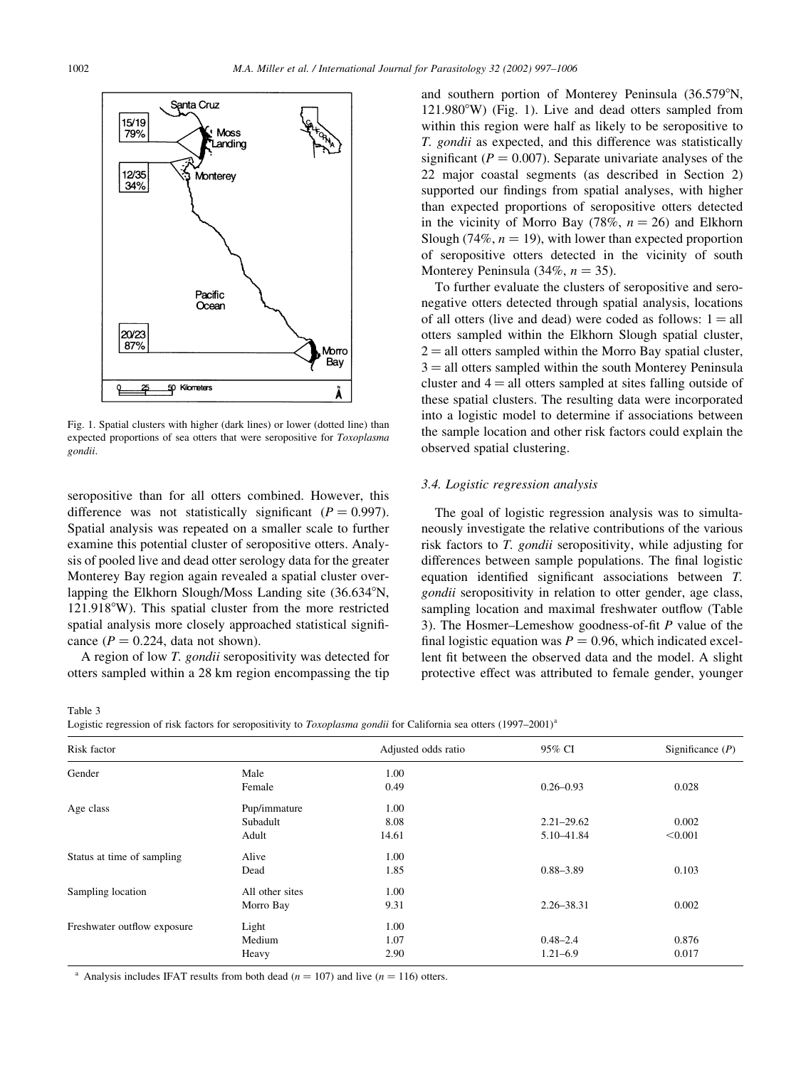

Fig. 1. Spatial clusters with higher (dark lines) or lower (dotted line) than expected proportions of sea otters that were seropositive for Toxoplasma gondii.

seropositive than for all otters combined. However, this difference was not statistically significant  $(P = 0.997)$ . Spatial analysis was repeated on a smaller scale to further examine this potential cluster of seropositive otters. Analysis of pooled live and dead otter serology data for the greater Monterey Bay region again revealed a spatial cluster overlapping the Elkhorn Slough/Moss Landing site  $(36.634^{\circ}N,$  $121.918^{\circ}$ W). This spatial cluster from the more restricted spatial analysis more closely approached statistical significance  $(P = 0.224$ , data not shown).

A region of low T. gondii seropositivity was detected for otters sampled within a 28 km region encompassing the tip

and southern portion of Monterey Peninsula (36.579°N,  $121.980^{\circ}$ W) (Fig. 1). Live and dead otters sampled from within this region were half as likely to be seropositive to T. gondii as expected, and this difference was statistically significant  $(P = 0.007)$ . Separate univariate analyses of the 22 major coastal segments (as described in Section 2) supported our findings from spatial analyses, with higher than expected proportions of seropositive otters detected in the vicinity of Morro Bay (78%,  $n = 26$ ) and Elkhorn Slough (74%,  $n = 19$ ), with lower than expected proportion of seropositive otters detected in the vicinity of south Monterey Peninsula  $(34\%, n = 35)$ .

To further evaluate the clusters of seropositive and seronegative otters detected through spatial analysis, locations of all otters (live and dead) were coded as follows:  $1 = all$ otters sampled within the Elkhorn Slough spatial cluster,  $2 =$  all otters sampled within the Morro Bay spatial cluster,  $3 =$  all otters sampled within the south Monterey Peninsula cluster and  $4 =$  all otters sampled at sites falling outside of these spatial clusters. The resulting data were incorporated into a logistic model to determine if associations between the sample location and other risk factors could explain the observed spatial clustering.

# 3.4. Logistic regression analysis

The goal of logistic regression analysis was to simultaneously investigate the relative contributions of the various risk factors to T. gondii seropositivity, while adjusting for differences between sample populations. The final logistic equation identified significant associations between T. gondii seropositivity in relation to otter gender, age class, sampling location and maximal freshwater outflow (Table 3). The Hosmer–Lemeshow goodness-of-fit P value of the final logistic equation was  $P = 0.96$ , which indicated excellent fit between the observed data and the model. A slight protective effect was attributed to female gender, younger

Table 3

Logistic regression of risk factors for seropositivity to Toxoplasma gondii for California sea otters (1997–2001)<sup>a</sup>

| Risk factor                 |                 | Adjusted odds ratio | 95% CI         | Significance $(P)$ |
|-----------------------------|-----------------|---------------------|----------------|--------------------|
| Gender                      | Male            | 1.00                |                |                    |
|                             | Female          | 0.49                | $0.26 - 0.93$  | 0.028              |
| Age class                   | Pup/immature    | 1.00                |                |                    |
|                             | Subadult        | 8.08                | $2.21 - 29.62$ | 0.002              |
|                             | Adult           | 14.61               | 5.10-41.84     | < 0.001            |
| Status at time of sampling  | Alive           | 1.00                |                |                    |
|                             | Dead            | 1.85                | $0.88 - 3.89$  | 0.103              |
| Sampling location           | All other sites | 1.00                |                |                    |
|                             | Morro Bay       | 9.31                | $2.26 - 38.31$ | 0.002              |
| Freshwater outflow exposure | Light           | 1.00                |                |                    |
|                             | Medium          | 1.07                | $0.48 - 2.4$   | 0.876              |
|                             | Heavy           | 2.90                | $1.21 - 6.9$   | 0.017              |

<sup>a</sup> Analysis includes IFAT results from both dead  $(n = 107)$  and live  $(n = 116)$  otters.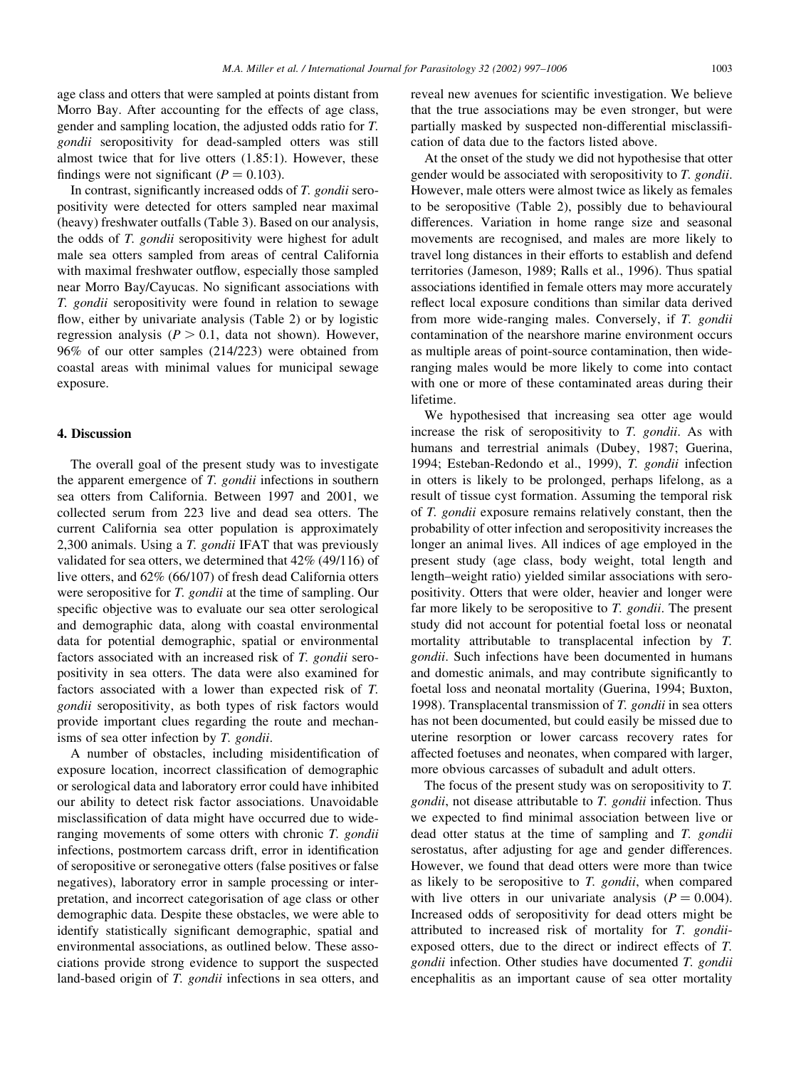age class and otters that were sampled at points distant from Morro Bay. After accounting for the effects of age class, gender and sampling location, the adjusted odds ratio for T. gondii seropositivity for dead-sampled otters was still almost twice that for live otters (1.85:1). However, these findings were not significant  $(P = 0.103)$ .

In contrast, significantly increased odds of T. gondii seropositivity were detected for otters sampled near maximal (heavy) freshwater outfalls (Table 3). Based on our analysis, the odds of T. gondii seropositivity were highest for adult male sea otters sampled from areas of central California with maximal freshwater outflow, especially those sampled near Morro Bay/Cayucas. No significant associations with T. gondii seropositivity were found in relation to sewage flow, either by univariate analysis (Table 2) or by logistic regression analysis ( $P > 0.1$ , data not shown). However, 96% of our otter samples (214/223) were obtained from coastal areas with minimal values for municipal sewage exposure.

#### 4. Discussion

The overall goal of the present study was to investigate the apparent emergence of T. gondii infections in southern sea otters from California. Between 1997 and 2001, we collected serum from 223 live and dead sea otters. The current California sea otter population is approximately 2,300 animals. Using a T. gondii IFAT that was previously validated for sea otters, we determined that 42% (49/116) of live otters, and 62% (66/107) of fresh dead California otters were seropositive for T. *gondii* at the time of sampling. Our specific objective was to evaluate our sea otter serological and demographic data, along with coastal environmental data for potential demographic, spatial or environmental factors associated with an increased risk of T. gondii seropositivity in sea otters. The data were also examined for factors associated with a lower than expected risk of T. gondii seropositivity, as both types of risk factors would provide important clues regarding the route and mechanisms of sea otter infection by T. gondii.

A number of obstacles, including misidentification of exposure location, incorrect classification of demographic or serological data and laboratory error could have inhibited our ability to detect risk factor associations. Unavoidable misclassification of data might have occurred due to wideranging movements of some otters with chronic T. gondii infections, postmortem carcass drift, error in identification of seropositive or seronegative otters (false positives or false negatives), laboratory error in sample processing or interpretation, and incorrect categorisation of age class or other demographic data. Despite these obstacles, we were able to identify statistically significant demographic, spatial and environmental associations, as outlined below. These associations provide strong evidence to support the suspected land-based origin of T. *gondii* infections in sea otters, and

reveal new avenues for scientific investigation. We believe that the true associations may be even stronger, but were partially masked by suspected non-differential misclassification of data due to the factors listed above.

At the onset of the study we did not hypothesise that otter gender would be associated with seropositivity to T. gondii. However, male otters were almost twice as likely as females to be seropositive (Table 2), possibly due to behavioural differences. Variation in home range size and seasonal movements are recognised, and males are more likely to travel long distances in their efforts to establish and defend territories (Jameson, 1989; Ralls et al., 1996). Thus spatial associations identified in female otters may more accurately reflect local exposure conditions than similar data derived from more wide-ranging males. Conversely, if T. gondii contamination of the nearshore marine environment occurs as multiple areas of point-source contamination, then wideranging males would be more likely to come into contact with one or more of these contaminated areas during their lifetime.

We hypothesised that increasing sea otter age would increase the risk of seropositivity to  $T$ . gondii. As with humans and terrestrial animals (Dubey, 1987; Guerina, 1994; Esteban-Redondo et al., 1999), T. gondii infection in otters is likely to be prolonged, perhaps lifelong, as a result of tissue cyst formation. Assuming the temporal risk of T. gondii exposure remains relatively constant, then the probability of otter infection and seropositivity increases the longer an animal lives. All indices of age employed in the present study (age class, body weight, total length and length–weight ratio) yielded similar associations with seropositivity. Otters that were older, heavier and longer were far more likely to be seropositive to T. gondii. The present study did not account for potential foetal loss or neonatal mortality attributable to transplacental infection by T. gondii. Such infections have been documented in humans and domestic animals, and may contribute significantly to foetal loss and neonatal mortality (Guerina, 1994; Buxton, 1998). Transplacental transmission of T. gondii in sea otters has not been documented, but could easily be missed due to uterine resorption or lower carcass recovery rates for affected foetuses and neonates, when compared with larger, more obvious carcasses of subadult and adult otters.

The focus of the present study was on seropositivity to T. gondii, not disease attributable to T. gondii infection. Thus we expected to find minimal association between live or dead otter status at the time of sampling and T. gondii serostatus, after adjusting for age and gender differences. However, we found that dead otters were more than twice as likely to be seropositive to T. gondii, when compared with live otters in our univariate analysis  $(P = 0.004)$ . Increased odds of seropositivity for dead otters might be attributed to increased risk of mortality for T. gondiiexposed otters, due to the direct or indirect effects of T. gondii infection. Other studies have documented T. gondii encephalitis as an important cause of sea otter mortality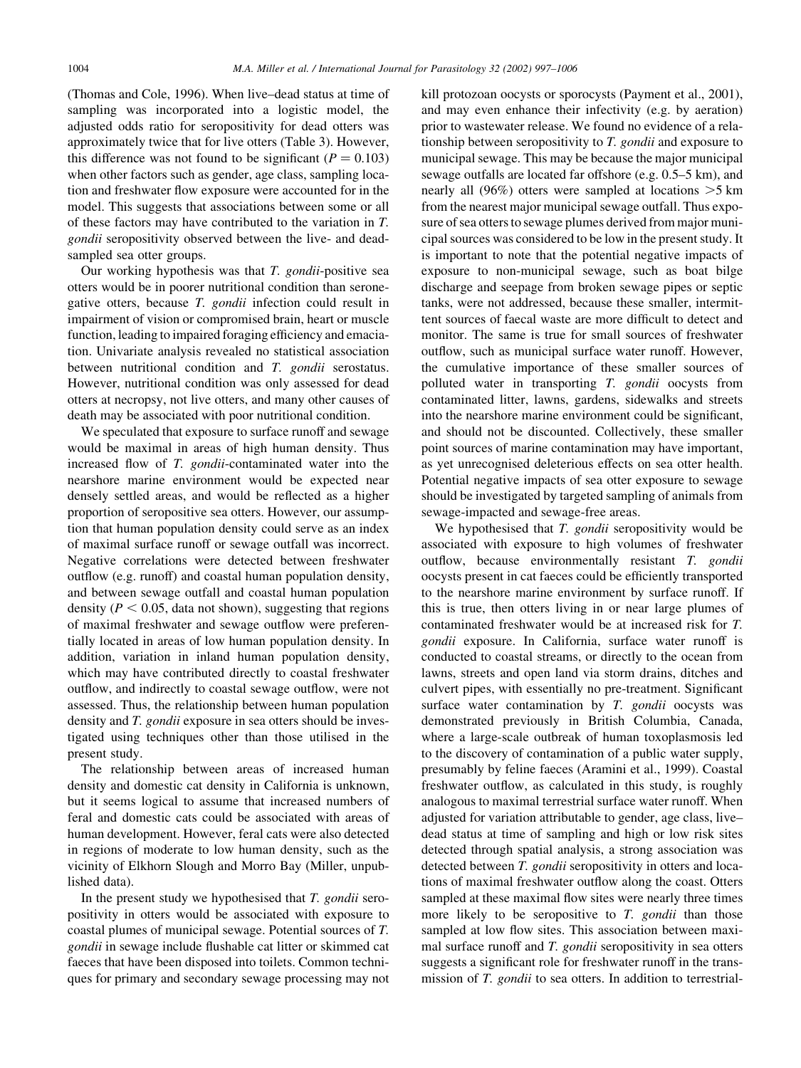(Thomas and Cole, 1996). When live–dead status at time of sampling was incorporated into a logistic model, the adjusted odds ratio for seropositivity for dead otters was approximately twice that for live otters (Table 3). However, this difference was not found to be significant  $(P = 0.103)$ when other factors such as gender, age class, sampling location and freshwater flow exposure were accounted for in the model. This suggests that associations between some or all of these factors may have contributed to the variation in T. gondii seropositivity observed between the live- and deadsampled sea otter groups.

Our working hypothesis was that  $T$ . gondii-positive sea otters would be in poorer nutritional condition than seronegative otters, because T. gondii infection could result in impairment of vision or compromised brain, heart or muscle function, leading to impaired foraging efficiency and emaciation. Univariate analysis revealed no statistical association between nutritional condition and T. gondii serostatus. However, nutritional condition was only assessed for dead otters at necropsy, not live otters, and many other causes of death may be associated with poor nutritional condition.

We speculated that exposure to surface runoff and sewage would be maximal in areas of high human density. Thus increased flow of T. gondii-contaminated water into the nearshore marine environment would be expected near densely settled areas, and would be reflected as a higher proportion of seropositive sea otters. However, our assumption that human population density could serve as an index of maximal surface runoff or sewage outfall was incorrect. Negative correlations were detected between freshwater outflow (e.g. runoff) and coastal human population density, and between sewage outfall and coastal human population density ( $P < 0.05$ , data not shown), suggesting that regions of maximal freshwater and sewage outflow were preferentially located in areas of low human population density. In addition, variation in inland human population density, which may have contributed directly to coastal freshwater outflow, and indirectly to coastal sewage outflow, were not assessed. Thus, the relationship between human population density and T. gondii exposure in sea otters should be investigated using techniques other than those utilised in the present study.

The relationship between areas of increased human density and domestic cat density in California is unknown, but it seems logical to assume that increased numbers of feral and domestic cats could be associated with areas of human development. However, feral cats were also detected in regions of moderate to low human density, such as the vicinity of Elkhorn Slough and Morro Bay (Miller, unpublished data).

In the present study we hypothesised that T. gondii seropositivity in otters would be associated with exposure to coastal plumes of municipal sewage. Potential sources of T. gondii in sewage include flushable cat litter or skimmed cat faeces that have been disposed into toilets. Common techniques for primary and secondary sewage processing may not kill protozoan oocysts or sporocysts (Payment et al., 2001), and may even enhance their infectivity (e.g. by aeration) prior to wastewater release. We found no evidence of a relationship between seropositivity to T. gondii and exposure to municipal sewage. This may be because the major municipal sewage outfalls are located far offshore (e.g. 0.5–5 km), and nearly all  $(96\%)$  otters were sampled at locations  $>5$  km from the nearest major municipal sewage outfall. Thus exposure of sea otters to sewage plumes derived from major municipal sources was considered to be low in the present study. It is important to note that the potential negative impacts of exposure to non-municipal sewage, such as boat bilge discharge and seepage from broken sewage pipes or septic tanks, were not addressed, because these smaller, intermittent sources of faecal waste are more difficult to detect and monitor. The same is true for small sources of freshwater outflow, such as municipal surface water runoff. However, the cumulative importance of these smaller sources of polluted water in transporting T. gondii oocysts from contaminated litter, lawns, gardens, sidewalks and streets into the nearshore marine environment could be significant, and should not be discounted. Collectively, these smaller point sources of marine contamination may have important, as yet unrecognised deleterious effects on sea otter health. Potential negative impacts of sea otter exposure to sewage should be investigated by targeted sampling of animals from sewage-impacted and sewage-free areas.

We hypothesised that T. gondii seropositivity would be associated with exposure to high volumes of freshwater outflow, because environmentally resistant T. gondii oocysts present in cat faeces could be efficiently transported to the nearshore marine environment by surface runoff. If this is true, then otters living in or near large plumes of contaminated freshwater would be at increased risk for T. gondii exposure. In California, surface water runoff is conducted to coastal streams, or directly to the ocean from lawns, streets and open land via storm drains, ditches and culvert pipes, with essentially no pre-treatment. Significant surface water contamination by T. gondii oocysts was demonstrated previously in British Columbia, Canada, where a large-scale outbreak of human toxoplasmosis led to the discovery of contamination of a public water supply, presumably by feline faeces (Aramini et al., 1999). Coastal freshwater outflow, as calculated in this study, is roughly analogous to maximal terrestrial surface water runoff. When adjusted for variation attributable to gender, age class, live– dead status at time of sampling and high or low risk sites detected through spatial analysis, a strong association was detected between T. gondii seropositivity in otters and locations of maximal freshwater outflow along the coast. Otters sampled at these maximal flow sites were nearly three times more likely to be seropositive to T. gondii than those sampled at low flow sites. This association between maximal surface runoff and T. gondii seropositivity in sea otters suggests a significant role for freshwater runoff in the transmission of T. *gondii* to sea otters. In addition to terrestrial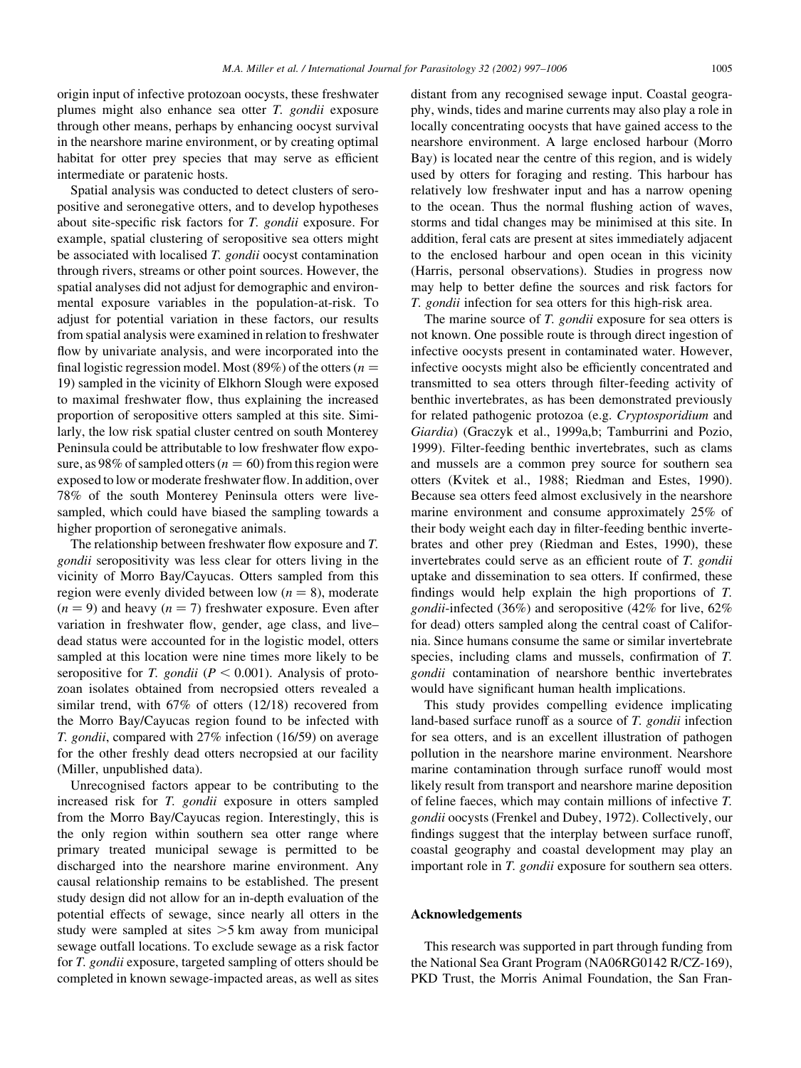origin input of infective protozoan oocysts, these freshwater plumes might also enhance sea otter T. gondii exposure through other means, perhaps by enhancing oocyst survival in the nearshore marine environment, or by creating optimal habitat for otter prey species that may serve as efficient intermediate or paratenic hosts.

Spatial analysis was conducted to detect clusters of seropositive and seronegative otters, and to develop hypotheses about site-specific risk factors for T. gondii exposure. For example, spatial clustering of seropositive sea otters might be associated with localised T. gondii oocyst contamination through rivers, streams or other point sources. However, the spatial analyses did not adjust for demographic and environmental exposure variables in the population-at-risk. To adjust for potential variation in these factors, our results from spatial analysis were examined in relation to freshwater flow by univariate analysis, and were incorporated into the final logistic regression model. Most (89%) of the otters ( $n =$ 19) sampled in the vicinity of Elkhorn Slough were exposed to maximal freshwater flow, thus explaining the increased proportion of seropositive otters sampled at this site. Similarly, the low risk spatial cluster centred on south Monterey Peninsula could be attributable to low freshwater flow exposure, as 98% of sampled otters ( $n = 60$ ) from this region were exposed to low or moderate freshwater flow. In addition, over 78% of the south Monterey Peninsula otters were livesampled, which could have biased the sampling towards a higher proportion of seronegative animals.

The relationship between freshwater flow exposure and T. gondii seropositivity was less clear for otters living in the vicinity of Morro Bay/Cayucas. Otters sampled from this region were evenly divided between low  $(n = 8)$ , moderate  $(n = 9)$  and heavy  $(n = 7)$  freshwater exposure. Even after variation in freshwater flow, gender, age class, and live– dead status were accounted for in the logistic model, otters sampled at this location were nine times more likely to be seropositive for T. gondii ( $P \le 0.001$ ). Analysis of protozoan isolates obtained from necropsied otters revealed a similar trend, with 67% of otters (12/18) recovered from the Morro Bay/Cayucas region found to be infected with T. gondii, compared with 27% infection (16/59) on average for the other freshly dead otters necropsied at our facility (Miller, unpublished data).

Unrecognised factors appear to be contributing to the increased risk for T. gondii exposure in otters sampled from the Morro Bay/Cayucas region. Interestingly, this is the only region within southern sea otter range where primary treated municipal sewage is permitted to be discharged into the nearshore marine environment. Any causal relationship remains to be established. The present study design did not allow for an in-depth evaluation of the potential effects of sewage, since nearly all otters in the study were sampled at sites  $>5$  km away from municipal sewage outfall locations. To exclude sewage as a risk factor for T. gondii exposure, targeted sampling of otters should be completed in known sewage-impacted areas, as well as sites

distant from any recognised sewage input. Coastal geography, winds, tides and marine currents may also play a role in locally concentrating oocysts that have gained access to the nearshore environment. A large enclosed harbour (Morro Bay) is located near the centre of this region, and is widely used by otters for foraging and resting. This harbour has relatively low freshwater input and has a narrow opening to the ocean. Thus the normal flushing action of waves, storms and tidal changes may be minimised at this site. In addition, feral cats are present at sites immediately adjacent to the enclosed harbour and open ocean in this vicinity (Harris, personal observations). Studies in progress now may help to better define the sources and risk factors for T. gondii infection for sea otters for this high-risk area.

The marine source of T. *gondii* exposure for sea otters is not known. One possible route is through direct ingestion of infective oocysts present in contaminated water. However, infective oocysts might also be efficiently concentrated and transmitted to sea otters through filter-feeding activity of benthic invertebrates, as has been demonstrated previously for related pathogenic protozoa (e.g. Cryptosporidium and Giardia) (Graczyk et al., 1999a,b; Tamburrini and Pozio, 1999). Filter-feeding benthic invertebrates, such as clams and mussels are a common prey source for southern sea otters (Kvitek et al., 1988; Riedman and Estes, 1990). Because sea otters feed almost exclusively in the nearshore marine environment and consume approximately 25% of their body weight each day in filter-feeding benthic invertebrates and other prey (Riedman and Estes, 1990), these invertebrates could serve as an efficient route of T. gondii uptake and dissemination to sea otters. If confirmed, these findings would help explain the high proportions of T. gondii-infected (36%) and seropositive (42% for live, 62% for dead) otters sampled along the central coast of California. Since humans consume the same or similar invertebrate species, including clams and mussels, confirmation of T. gondii contamination of nearshore benthic invertebrates would have significant human health implications.

This study provides compelling evidence implicating land-based surface runoff as a source of T. gondii infection for sea otters, and is an excellent illustration of pathogen pollution in the nearshore marine environment. Nearshore marine contamination through surface runoff would most likely result from transport and nearshore marine deposition of feline faeces, which may contain millions of infective T. gondii oocysts (Frenkel and Dubey, 1972). Collectively, our findings suggest that the interplay between surface runoff, coastal geography and coastal development may play an important role in T. gondii exposure for southern sea otters.

## Acknowledgements

This research was supported in part through funding from the National Sea Grant Program (NA06RG0142 R/CZ-169), PKD Trust, the Morris Animal Foundation, the San Fran